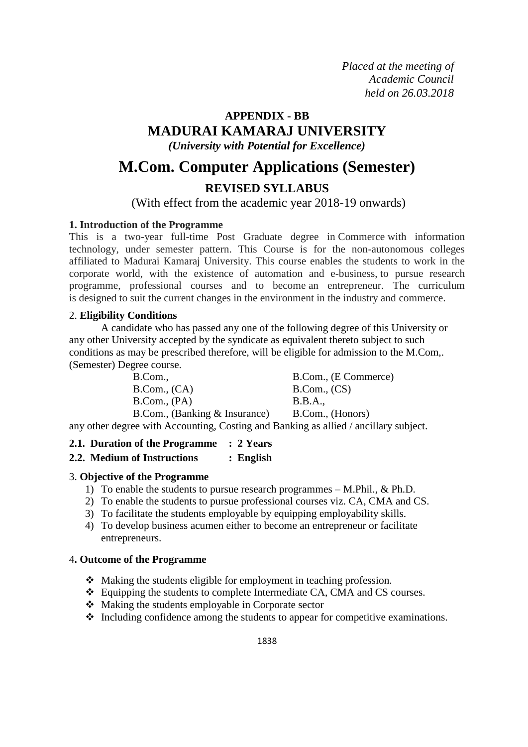*Placed at the meeting of Academic Council held on 26.03.2018*

# **APPENDIX - BB MADURAI KAMARAJ UNIVERSITY**

*(University with Potential for Excellence)*

# **M.Com. Computer Applications (Semester) REVISED SYLLABUS**

# (With effect from the academic year 2018-19 onwards)

# **1. Introduction of the Programme**

This is a two-year full-time Post Graduate degree in Commerce with information technology, under semester pattern. This Course is for the non-autonomous colleges affiliated to Madurai Kamaraj University. This course enables the students to work in the corporate world, with the existence of automation and e-business, to pursue research programme, professional courses and to become an entrepreneur. The curriculum is designed to suit the current changes in the environment in the industry and commerce.

# 2. **Eligibility Conditions**

A candidate who has passed any one of the following degree of this University or any other University accepted by the syndicate as equivalent thereto subject to such conditions as may be prescribed therefore, will be eligible for admission to the M.Com,. (Semester) Degree course.

B.Com., B.Com., (E Commerce) B.Com., (CA) B.Com., (CS) B.Com., (PA) B.B.A., B.Com., (Banking & Insurance) B.Com., (Honors)

any other degree with Accounting, Costing and Banking as allied / ancillary subject.

# **2.1. Duration of the Programme : 2 Years**

# **2.2. Medium of Instructions : English**

# 3. **Objective of the Programme**

- 1) To enable the students to pursue research programmes M.Phil., & Ph.D.
- 2) To enable the students to pursue professional courses viz. CA, CMA and CS.
- 3) To facilitate the students employable by equipping employability skills.
- 4) To develop business acumen either to become an entrepreneur or facilitate entrepreneurs.

## 4**. Outcome of the Programme**

- Making the students eligible for employment in teaching profession.
- Equipping the students to complete Intermediate CA, CMA and CS courses.
- Making the students employable in Corporate sector
- $\triangleleft$  Including confidence among the students to appear for competitive examinations.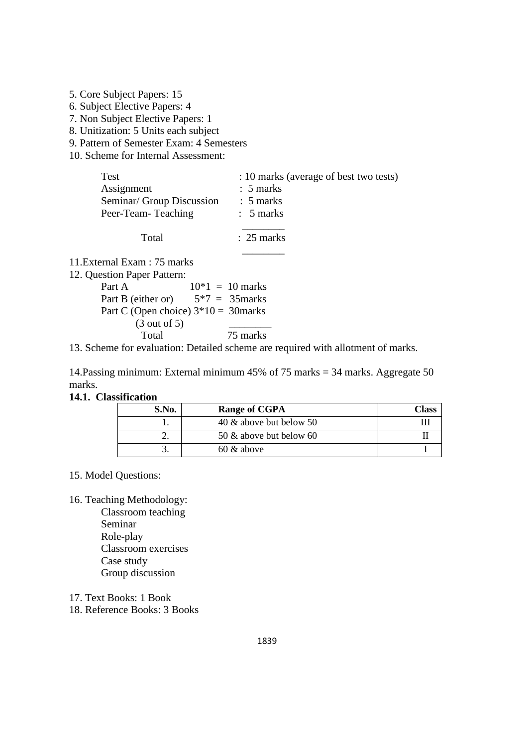5. Core Subject Papers: 15 6. Subject Elective Papers: 4 7. Non Subject Elective Papers: 1

8. Unitization: 5 Units each subject

9. Pattern of Semester Exam: 4 Semesters

10. Scheme for Internal Assessment:

| <b>Test</b>                                     | : 10 marks (average of best two tests)       |
|-------------------------------------------------|----------------------------------------------|
| Assignment                                      | $\therefore$ 5 marks                         |
| Seminar/ Group Discussion<br>Peer-Team-Teaching | $\therefore$ 5 marks<br>$\therefore$ 5 marks |
| Total                                           | $\therefore$ 25 marks                        |

 $\frac{1}{\sqrt{2}}$ 11.External Exam : 75 marks

12. Question Paper Pattern:

| Part A                                 | $10*1 = 10$ marks |
|----------------------------------------|-------------------|
| Part B (either or)                     | $5*7 = 35$ marks  |
| Part C (Open choice) $3*10 = 30$ marks |                   |
| $(3 \text{ out of } 5)$                |                   |
| Total                                  | 75 marks          |

13. Scheme for evaluation: Detailed scheme are required with allotment of marks.

14.Passing minimum: External minimum 45% of 75 marks = 34 marks. Aggregate 50 marks.

#### **14.1. Classification**

| S.No. | Range of CGPA           | Class |
|-------|-------------------------|-------|
|       | 40 & above but below 50 |       |
|       | 50 & above but below 60 |       |
|       | $60 \&$ above           |       |

## 15. Model Questions:

16. Teaching Methodology:

Classroom teaching Seminar Role-play Classroom exercises Case study Group discussion

17. Text Books: 1 Book

18. Reference Books: 3 Books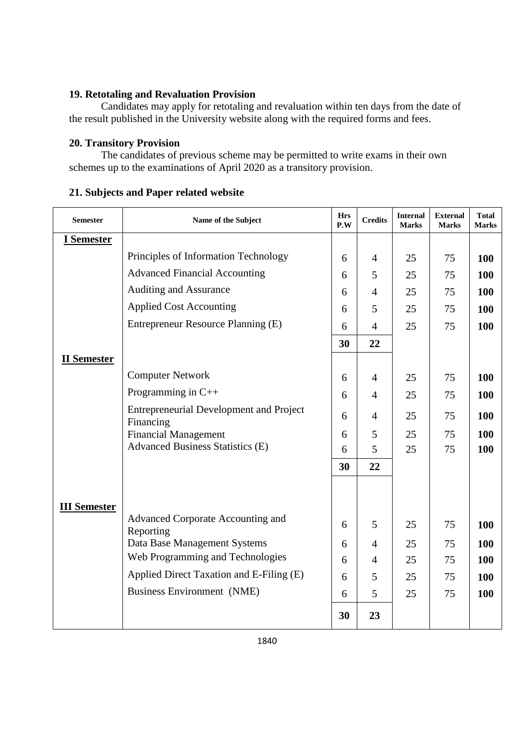# **19. Retotaling and Revaluation Provision**

Candidates may apply for retotaling and revaluation within ten days from the date of the result published in the University website along with the required forms and fees.

# **20. Transitory Provision**

The candidates of previous scheme may be permitted to write exams in their own schemes up to the examinations of April 2020 as a transitory provision.

## **21. Subjects and Paper related website**

| <b>Semester</b>     | Name of the Subject                                                    | <b>Hrs</b><br>P.W | <b>Credits</b> | <b>Internal</b><br><b>Marks</b> | <b>External</b><br><b>Marks</b> | <b>Total</b><br><b>Marks</b> |
|---------------------|------------------------------------------------------------------------|-------------------|----------------|---------------------------------|---------------------------------|------------------------------|
| I Semester          |                                                                        |                   |                |                                 |                                 |                              |
|                     | Principles of Information Technology                                   | 6                 | $\overline{4}$ | 25                              | 75                              | 100                          |
|                     | <b>Advanced Financial Accounting</b>                                   | 6                 | 5              | 25                              | 75                              | 100                          |
|                     | Auditing and Assurance                                                 | 6                 | $\overline{4}$ | 25                              | 75                              | 100                          |
|                     | <b>Applied Cost Accounting</b>                                         | 6                 | 5              | 25                              | 75                              | 100                          |
|                     | Entrepreneur Resource Planning (E)                                     | 6                 | $\overline{4}$ | 25                              | 75                              | 100                          |
|                     |                                                                        | 30                | 22             |                                 |                                 |                              |
| <b>II</b> Semester  |                                                                        |                   |                |                                 |                                 |                              |
|                     | <b>Computer Network</b>                                                | 6                 | $\overline{4}$ | 25                              | 75                              | 100                          |
|                     | Programming in $C++$                                                   | 6                 | $\overline{4}$ | 25                              | 75                              | 100                          |
|                     | <b>Entrepreneurial Development and Project</b>                         | 6                 | $\overline{4}$ | 25                              | 75                              | 100                          |
|                     | Financing                                                              |                   |                |                                 |                                 |                              |
|                     | <b>Financial Management</b><br><b>Advanced Business Statistics (E)</b> | 6<br>6            | 5<br>5         | 25<br>25                        | 75<br>75                        | 100<br>100                   |
|                     |                                                                        |                   |                |                                 |                                 |                              |
|                     |                                                                        | 30                | 22             |                                 |                                 |                              |
|                     |                                                                        |                   |                |                                 |                                 |                              |
| <b>III Semester</b> |                                                                        |                   |                |                                 |                                 |                              |
|                     | Advanced Corporate Accounting and<br>Reporting                         | 6                 | 5              | 25                              | 75                              | 100                          |
|                     | Data Base Management Systems                                           | 6                 | $\overline{4}$ | 25                              | 75                              | 100                          |
|                     | Web Programming and Technologies                                       | 6                 | $\overline{4}$ | 25                              | 75                              | 100                          |
|                     | Applied Direct Taxation and E-Filing (E)                               | 6                 | 5              | 25                              | 75                              | 100                          |
|                     | <b>Business Environment (NME)</b>                                      | 6                 | 5              | 25                              | 75                              | 100                          |
|                     |                                                                        | 30                | 23             |                                 |                                 |                              |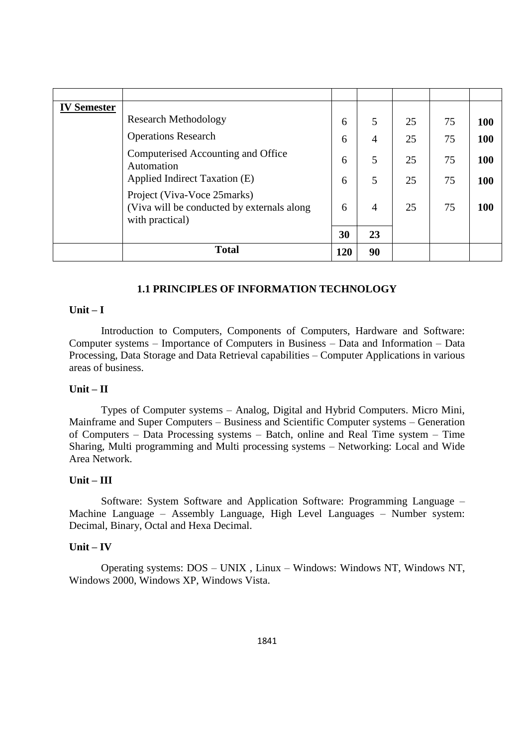| <b>IV Semester</b> |                                                                                              |     |                |    |    |     |
|--------------------|----------------------------------------------------------------------------------------------|-----|----------------|----|----|-----|
|                    | <b>Research Methodology</b>                                                                  | 6   | 5              | 25 | 75 | 100 |
|                    | <b>Operations Research</b>                                                                   | 6   | $\overline{4}$ | 25 | 75 | 100 |
|                    | Computerised Accounting and Office<br>Automation                                             | 6   | 5              | 25 | 75 | 100 |
|                    | Applied Indirect Taxation (E)                                                                | 6   | 5              | 25 | 75 | 100 |
|                    | Project (Viva-Voce 25marks)<br>(Viva will be conducted by externals along<br>with practical) | 6   | 4              | 25 | 75 | 100 |
|                    |                                                                                              | 30  | 23             |    |    |     |
|                    | <b>Total</b>                                                                                 | 120 | 90             |    |    |     |

## **1.1 PRINCIPLES OF INFORMATION TECHNOLOGY**

## **Unit – I**

Introduction to Computers, Components of Computers, Hardware and Software: Computer systems – Importance of Computers in Business – Data and Information – Data Processing, Data Storage and Data Retrieval capabilities – Computer Applications in various areas of business.

#### **Unit – II**

Types of Computer systems – Analog, Digital and Hybrid Computers. Micro Mini, Mainframe and Super Computers – Business and Scientific Computer systems – Generation of Computers – Data Processing systems – Batch, online and Real Time system – Time Sharing, Multi programming and Multi processing systems – Networking: Local and Wide Area Network.

## **Unit – III**

Software: System Software and Application Software: Programming Language – Machine Language – Assembly Language, High Level Languages – Number system: Decimal, Binary, Octal and Hexa Decimal.

#### **Unit – IV**

Operating systems: DOS – UNIX , Linux – Windows: Windows NT, Windows NT, Windows 2000, Windows XP, Windows Vista.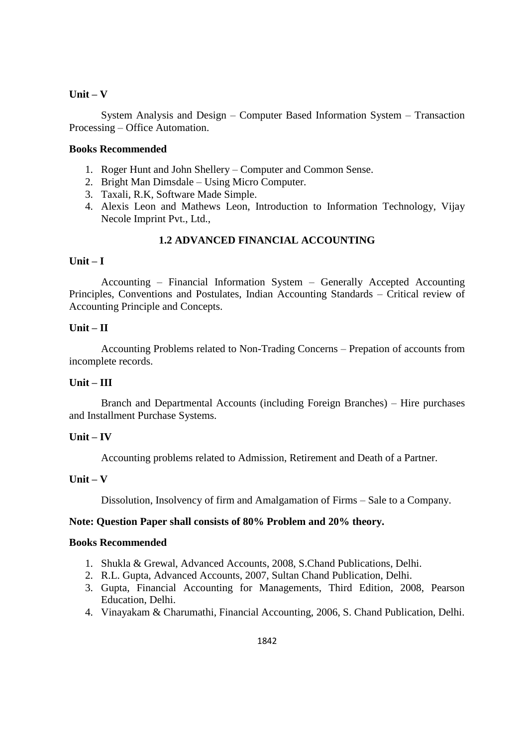System Analysis and Design – Computer Based Information System – Transaction Processing – Office Automation.

## **Books Recommended**

- 1. Roger Hunt and John Shellery Computer and Common Sense.
- 2. Bright Man Dimsdale Using Micro Computer.
- 3. Taxali, R.K, Software Made Simple.
- 4. Alexis Leon and Mathews Leon, Introduction to Information Technology, Vijay Necole Imprint Pvt., Ltd.,

## **1.2 ADVANCED FINANCIAL ACCOUNTING**

## **Unit – I**

Accounting – Financial Information System – Generally Accepted Accounting Principles, Conventions and Postulates, Indian Accounting Standards – Critical review of Accounting Principle and Concepts.

## **Unit – II**

Accounting Problems related to Non-Trading Concerns – Prepation of accounts from incomplete records.

## **Unit – III**

Branch and Departmental Accounts (including Foreign Branches) – Hire purchases and Installment Purchase Systems.

## **Unit – IV**

Accounting problems related to Admission, Retirement and Death of a Partner.

## **Unit – V**

Dissolution, Insolvency of firm and Amalgamation of Firms – Sale to a Company.

## **Note: Question Paper shall consists of 80% Problem and 20% theory.**

## **Books Recommended**

- 1. Shukla & Grewal, Advanced Accounts, 2008, S.Chand Publications, Delhi.
- 2. R.L. Gupta, Advanced Accounts, 2007, Sultan Chand Publication, Delhi.
- 3. Gupta, Financial Accounting for Managements, Third Edition, 2008, Pearson Education, Delhi.
- 4. Vinayakam & Charumathi, Financial Accounting, 2006, S. Chand Publication, Delhi.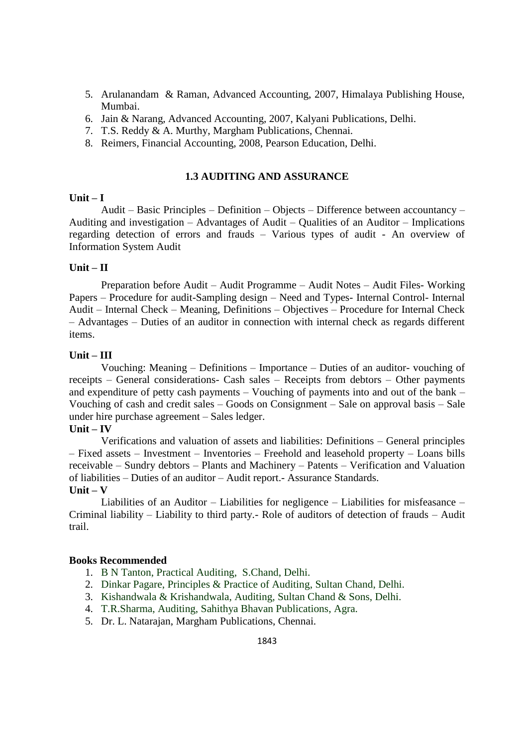- 5. Arulanandam & Raman, Advanced Accounting, 2007, Himalaya Publishing House, Mumbai.
- 6. Jain & Narang, Advanced Accounting, 2007, Kalyani Publications, Delhi.
- 7. T.S. Reddy & A. Murthy, Margham Publications, Chennai.
- 8. Reimers, Financial Accounting, 2008, Pearson Education, Delhi.

#### **1.3 AUDITING AND ASSURANCE**

#### **Unit – I**

Audit – Basic Principles – Definition – Objects – Difference between accountancy – Auditing and investigation – Advantages of Audit – Qualities of an Auditor – Implications regarding detection of errors and frauds – Various types of audit - An overview of Information System Audit

## **Unit – II**

Preparation before Audit – Audit Programme – Audit Notes – Audit Files- Working Papers – Procedure for audit-Sampling design – Need and Types- Internal Control- Internal Audit – Internal Check – Meaning, Definitions – Objectives – Procedure for Internal Check – Advantages – Duties of an auditor in connection with internal check as regards different items.

## **Unit – III**

Vouching: Meaning – Definitions – Importance – Duties of an auditor- vouching of receipts – General considerations- Cash sales – Receipts from debtors – Other payments and expenditure of petty cash payments – Vouching of payments into and out of the bank – Vouching of cash and credit sales – Goods on Consignment – Sale on approval basis – Sale under hire purchase agreement – Sales ledger.

## **Unit – IV**

Verifications and valuation of assets and liabilities: Definitions – General principles – Fixed assets – Investment – Inventories – Freehold and leasehold property – Loans bills receivable – Sundry debtors – Plants and Machinery – Patents – Verification and Valuation of liabilities – Duties of an auditor – Audit report.- Assurance Standards. **Unit – V**

Liabilities of an Auditor – Liabilities for negligence – Liabilities for misfeasance – Criminal liability – Liability to third party.- Role of auditors of detection of frauds – Audit trail.

#### **Books Recommended**

- 1. B N Tanton, Practical Auditing, S.Chand, Delhi.
- 2. Dinkar Pagare, Principles & Practice of Auditing, Sultan Chand, Delhi.
- 3. Kishandwala & Krishandwala, Auditing, Sultan Chand & Sons, Delhi.
- 4. T.R.Sharma, Auditing, Sahithya Bhavan Publications, Agra.
- 5. Dr. L. Natarajan, Margham Publications, Chennai.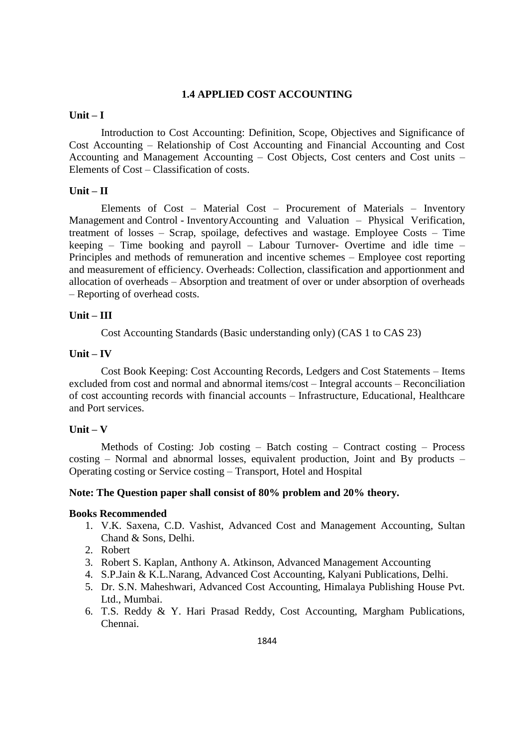## **1.4 APPLIED COST ACCOUNTING**

## **Unit – I**

Introduction to Cost Accounting: Definition, Scope, Objectives and Significance of Cost Accounting – Relationship of Cost Accounting and Financial Accounting and Cost Accounting and Management Accounting – Cost Objects, Cost centers and Cost units – Elements of Cost – Classification of costs.

## **Unit – II**

Elements of Cost – Material Cost – Procurement of Materials – Inventory Management and Control - InventoryAccounting and Valuation – Physical Verification, treatment of losses – Scrap, spoilage, defectives and wastage. Employee Costs – Time keeping – Time booking and payroll – Labour Turnover- Overtime and idle time – Principles and methods of remuneration and incentive schemes – Employee cost reporting and measurement of efficiency. Overheads: Collection, classification and apportionment and allocation of overheads – Absorption and treatment of over or under absorption of overheads – Reporting of overhead costs.

## **Unit – III**

Cost Accounting Standards (Basic understanding only) (CAS 1 to CAS 23)

## **Unit – IV**

Cost Book Keeping: Cost Accounting Records, Ledgers and Cost Statements – Items excluded from cost and normal and abnormal items/cost – Integral accounts – Reconciliation of cost accounting records with financial accounts – Infrastructure, Educational, Healthcare and Port services.

#### **Unit – V**

Methods of Costing: Job costing – Batch costing – Contract costing – Process costing – Normal and abnormal losses, equivalent production, Joint and By products – Operating costing or Service costing – Transport, Hotel and Hospital

#### **Note: The Question paper shall consist of 80% problem and 20% theory.**

#### **Books Recommended**

- 1. V.K. Saxena, C.D. Vashist, Advanced Cost and Management Accounting, Sultan Chand & Sons, Delhi.
- 2. Robert
- 3. Robert S. Kaplan, Anthony A. Atkinson, Advanced Management Accounting
- 4. S.P.Jain & K.L.Narang, Advanced Cost Accounting, Kalyani Publications, Delhi.
- 5. Dr. S.N. Maheshwari, Advanced Cost Accounting, Himalaya Publishing House Pvt. Ltd., Mumbai.
- 6. T.S. Reddy & Y. Hari Prasad Reddy, Cost Accounting, Margham Publications, Chennai.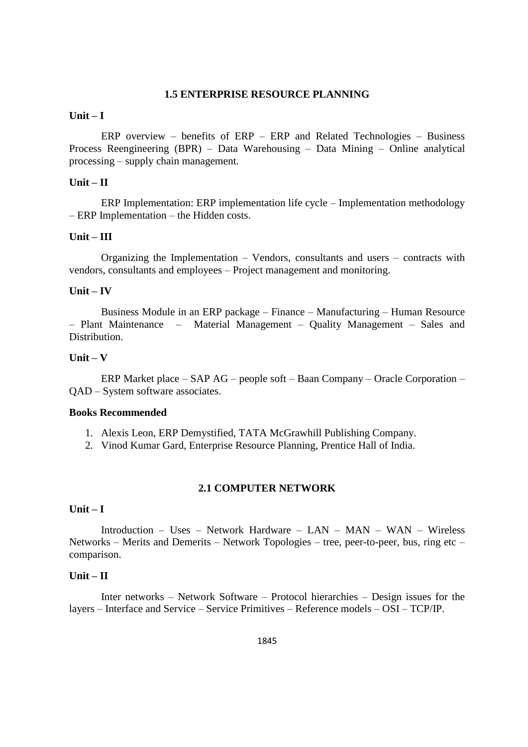## **1.5 ENTERPRISE RESOURCE PLANNING**

#### **Unit – I**

ERP overview – benefits of ERP – ERP and Related Technologies – Business Process Reengineering (BPR) – Data Warehousing – Data Mining – Online analytical processing – supply chain management.

## **Unit – II**

ERP Implementation: ERP implementation life cycle – Implementation methodology – ERP Implementation – the Hidden costs.

#### **Unit – III**

Organizing the Implementation – Vendors, consultants and users – contracts with vendors, consultants and employees – Project management and monitoring.

#### **Unit – IV**

Business Module in an ERP package – Finance – Manufacturing – Human Resource – Plant Maintenance – Material Management – Quality Management – Sales and Distribution.

## **Unit – V**

ERP Market place – SAP AG – people soft – Baan Company – Oracle Corporation – QAD – System software associates.

## **Books Recommended**

- 1. Alexis Leon, ERP Demystified, TATA McGrawhill Publishing Company.
- 2. Vinod Kumar Gard, Enterprise Resource Planning, Prentice Hall of India.

#### **2.1 COMPUTER NETWORK**

#### **Unit – I**

Introduction – Uses – Network Hardware – LAN – MAN – WAN – Wireless Networks – Merits and Demerits – Network Topologies – tree, peer-to-peer, bus, ring etc – comparison.

## **Unit – II**

Inter networks – Network Software – Protocol hierarchies – Design issues for the layers – Interface and Service – Service Primitives – Reference models – OSI – TCP/IP.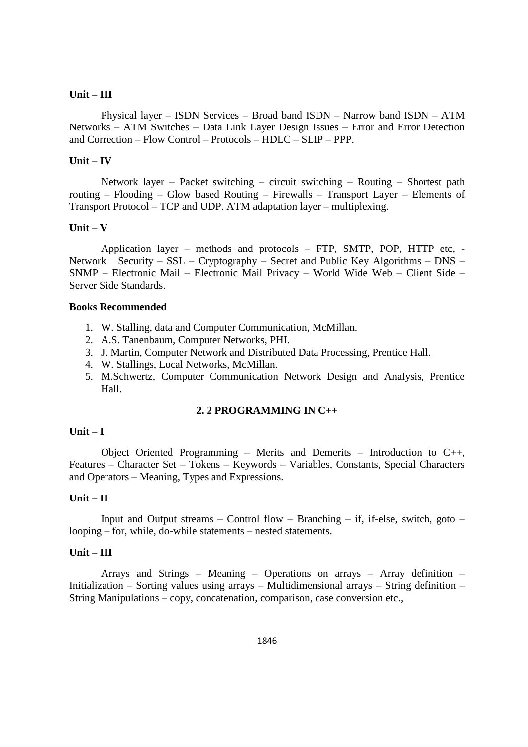## **Unit – III**

Physical layer – ISDN Services – Broad band ISDN – Narrow band ISDN – ATM Networks – ATM Switches – Data Link Layer Design Issues – Error and Error Detection and Correction – Flow Control – Protocols – HDLC – SLIP – PPP.

#### **Unit – IV**

Network layer – Packet switching – circuit switching – Routing – Shortest path routing – Flooding – Glow based Routing – Firewalls – Transport Layer – Elements of Transport Protocol – TCP and UDP. ATM adaptation layer – multiplexing.

#### **Unit – V**

Application layer – methods and protocols – FTP, SMTP, POP, HTTP etc, - Network Security – SSL – Cryptography – Secret and Public Key Algorithms – DNS – SNMP – Electronic Mail – Electronic Mail Privacy – World Wide Web – Client Side – Server Side Standards.

#### **Books Recommended**

- 1. W. Stalling, data and Computer Communication, McMillan.
- 2. A.S. Tanenbaum, Computer Networks, PHI.
- 3. J. Martin, Computer Network and Distributed Data Processing, Prentice Hall.
- 4. W. Stallings, Local Networks, McMillan.
- 5. M.Schwertz, Computer Communication Network Design and Analysis, Prentice Hall.

#### **2. 2 PROGRAMMING IN C++**

#### **Unit – I**

Object Oriented Programming – Merits and Demerits – Introduction to C++, Features – Character Set – Tokens – Keywords – Variables, Constants, Special Characters and Operators – Meaning, Types and Expressions.

## **Unit – II**

Input and Output streams – Control flow – Branching – if, if-else, switch, goto – looping – for, while, do-while statements – nested statements.

#### **Unit – III**

Arrays and Strings – Meaning – Operations on arrays – Array definition – Initialization – Sorting values using arrays – Multidimensional arrays – String definition – String Manipulations – copy, concatenation, comparison, case conversion etc.,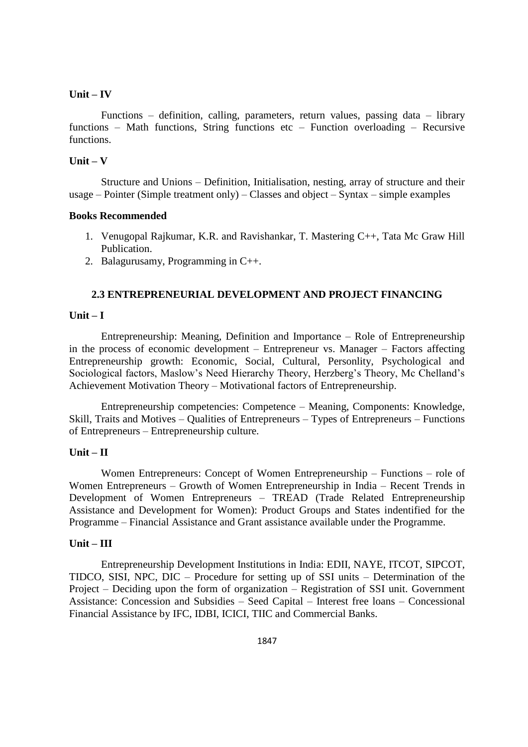Functions – definition, calling, parameters, return values, passing data – library functions – Math functions, String functions etc – Function overloading – Recursive functions.

## **Unit – V**

Structure and Unions – Definition, Initialisation, nesting, array of structure and their usage – Pointer (Simple treatment only) – Classes and object – Syntax – simple examples

#### **Books Recommended**

- 1. Venugopal Rajkumar, K.R. and Ravishankar, T. Mastering C++, Tata Mc Graw Hill Publication.
- 2. Balagurusamy, Programming in C++.

#### **2.3 ENTREPRENEURIAL DEVELOPMENT AND PROJECT FINANCING**

#### **Unit – I**

Entrepreneurship: Meaning, Definition and Importance – Role of Entrepreneurship in the process of economic development – Entrepreneur vs. Manager – Factors affecting Entrepreneurship growth: Economic, Social, Cultural, Personlity, Psychological and Sociological factors, Maslow's Need Hierarchy Theory, Herzberg's Theory, Mc Chelland's Achievement Motivation Theory – Motivational factors of Entrepreneurship.

Entrepreneurship competencies: Competence – Meaning, Components: Knowledge, Skill, Traits and Motives – Qualities of Entrepreneurs – Types of Entrepreneurs – Functions of Entrepreneurs – Entrepreneurship culture.

## **Unit – II**

Women Entrepreneurs: Concept of Women Entrepreneurship – Functions – role of Women Entrepreneurs – Growth of Women Entrepreneurship in India – Recent Trends in Development of Women Entrepreneurs – TREAD (Trade Related Entrepreneurship Assistance and Development for Women): Product Groups and States indentified for the Programme – Financial Assistance and Grant assistance available under the Programme.

## **Unit – III**

Entrepreneurship Development Institutions in India: EDII, NAYE, ITCOT, SIPCOT, TIDCO, SISI, NPC, DIC – Procedure for setting up of SSI units – Determination of the Project – Deciding upon the form of organization – Registration of SSI unit. Government Assistance: Concession and Subsidies – Seed Capital – Interest free loans – Concessional Financial Assistance by IFC, IDBI, ICICI, TIIC and Commercial Banks.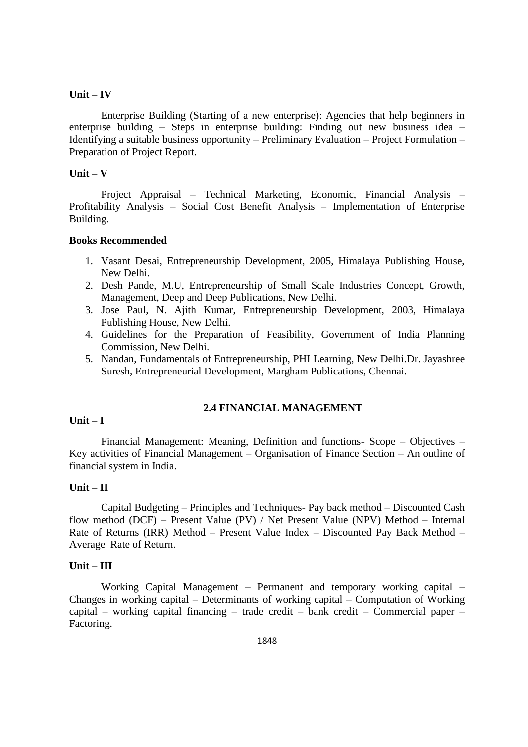Enterprise Building (Starting of a new enterprise): Agencies that help beginners in enterprise building – Steps in enterprise building: Finding out new business idea – Identifying a suitable business opportunity – Preliminary Evaluation – Project Formulation – Preparation of Project Report.

#### **Unit – V**

Project Appraisal – Technical Marketing, Economic, Financial Analysis – Profitability Analysis – Social Cost Benefit Analysis – Implementation of Enterprise Building.

#### **Books Recommended**

- 1. Vasant Desai, Entrepreneurship Development, 2005, Himalaya Publishing House, New Delhi.
- 2. Desh Pande, M.U, Entrepreneurship of Small Scale Industries Concept, Growth, Management, Deep and Deep Publications, New Delhi.
- 3. Jose Paul, N. Ajith Kumar, Entrepreneurship Development, 2003, Himalaya Publishing House, New Delhi.
- 4. Guidelines for the Preparation of Feasibility, Government of India Planning Commission, New Delhi.
- 5. Nandan, Fundamentals of Entrepreneurship, PHI Learning, New Delhi.Dr. Jayashree Suresh, Entrepreneurial Development, Margham Publications, Chennai.

#### **2.4 FINANCIAL MANAGEMENT**

## **Unit – I**

Financial Management: Meaning, Definition and functions- Scope – Objectives – Key activities of Financial Management – Organisation of Finance Section – An outline of financial system in India.

#### **Unit – II**

Capital Budgeting – Principles and Techniques- Pay back method – Discounted Cash flow method (DCF) – Present Value (PV) / Net Present Value (NPV) Method – Internal Rate of Returns (IRR) Method – Present Value Index – Discounted Pay Back Method – Average Rate of Return.

#### **Unit – III**

Working Capital Management – Permanent and temporary working capital – Changes in working capital – Determinants of working capital – Computation of Working capital – working capital financing – trade credit – bank credit – Commercial paper – Factoring.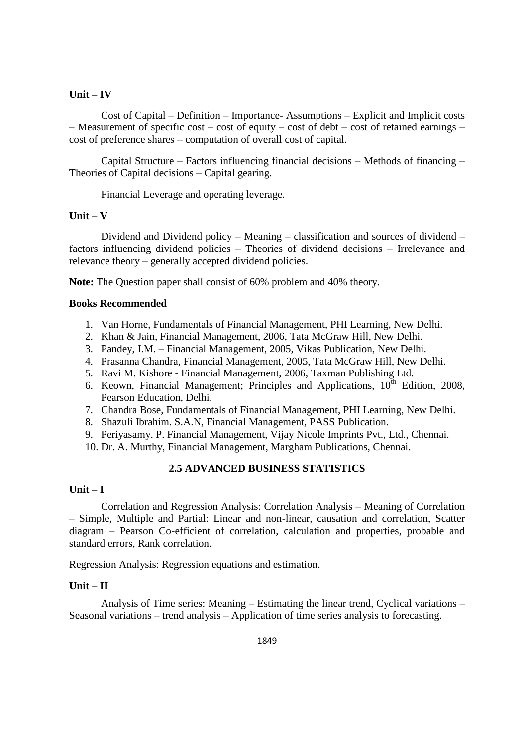Cost of Capital – Definition – Importance- Assumptions – Explicit and Implicit costs – Measurement of specific cost – cost of equity – cost of debt – cost of retained earnings – cost of preference shares – computation of overall cost of capital.

Capital Structure – Factors influencing financial decisions – Methods of financing – Theories of Capital decisions – Capital gearing.

Financial Leverage and operating leverage.

#### **Unit – V**

Dividend and Dividend policy – Meaning – classification and sources of dividend – factors influencing dividend policies – Theories of dividend decisions – Irrelevance and relevance theory – generally accepted dividend policies.

**Note:** The Question paper shall consist of 60% problem and 40% theory.

#### **Books Recommended**

- 1. Van Horne, Fundamentals of Financial Management, PHI Learning, New Delhi.
- 2. Khan & Jain, Financial Management, 2006, Tata McGraw Hill, New Delhi.
- 3. Pandey, I.M. Financial Management, 2005, Vikas Publication, New Delhi.
- 4. Prasanna Chandra, Financial Management, 2005, Tata McGraw Hill, New Delhi.
- 5. Ravi M. Kishore Financial Management, 2006, Taxman Publishing Ltd.
- 6. Keown, Financial Management; Principles and Applications,  $10^{th}$  Edition, 2008, Pearson Education, Delhi.
- 7. Chandra Bose, Fundamentals of Financial Management, PHI Learning, New Delhi.
- 8. Shazuli Ibrahim. S.A.N, Financial Management, PASS Publication.
- 9. Periyasamy. P. Financial Management, Vijay Nicole Imprints Pvt., Ltd., Chennai.
- 10. Dr. A. Murthy, Financial Management, Margham Publications, Chennai.

## **2.5 ADVANCED BUSINESS STATISTICS**

## **Unit – I**

Correlation and Regression Analysis: Correlation Analysis – Meaning of Correlation – Simple, Multiple and Partial: Linear and non-linear, causation and correlation, Scatter diagram – Pearson Co-efficient of correlation, calculation and properties, probable and standard errors, Rank correlation.

Regression Analysis: Regression equations and estimation.

## **Unit – II**

Analysis of Time series: Meaning – Estimating the linear trend, Cyclical variations – Seasonal variations – trend analysis – Application of time series analysis to forecasting.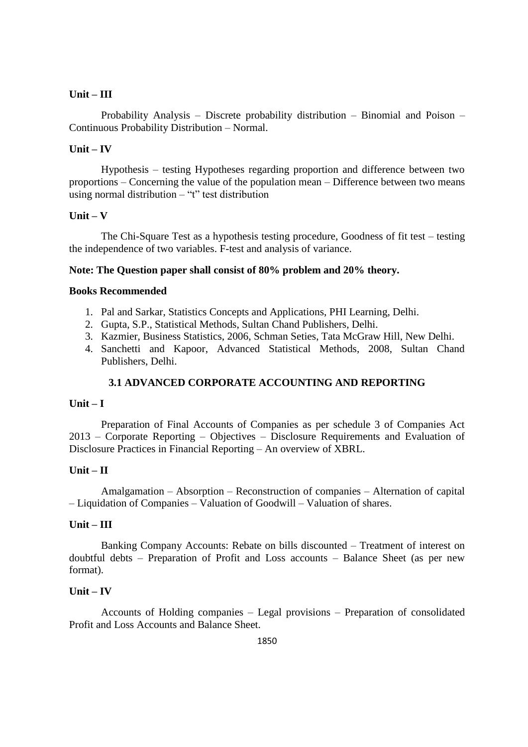## **Unit – III**

Probability Analysis – Discrete probability distribution – Binomial and Poison – Continuous Probability Distribution – Normal.

## **Unit – IV**

Hypothesis – testing Hypotheses regarding proportion and difference between two proportions – Concerning the value of the population mean – Difference between two means using normal distribution – "t" test distribution

## **Unit – V**

The Chi-Square Test as a hypothesis testing procedure, Goodness of fit test – testing the independence of two variables. F-test and analysis of variance.

## **Note: The Question paper shall consist of 80% problem and 20% theory.**

#### **Books Recommended**

- 1. Pal and Sarkar, Statistics Concepts and Applications, PHI Learning, Delhi.
- 2. Gupta, S.P., Statistical Methods, Sultan Chand Publishers, Delhi.
- 3. Kazmier, Business Statistics, 2006, Schman Seties, Tata McGraw Hill, New Delhi.
- 4. Sanchetti and Kapoor, Advanced Statistical Methods, 2008, Sultan Chand Publishers, Delhi.

## **3.1 ADVANCED CORPORATE ACCOUNTING AND REPORTING**

#### **Unit – I**

Preparation of Final Accounts of Companies as per schedule 3 of Companies Act 2013 – Corporate Reporting – Objectives – Disclosure Requirements and Evaluation of Disclosure Practices in Financial Reporting – An overview of XBRL.

#### **Unit – II**

Amalgamation – Absorption – Reconstruction of companies – Alternation of capital – Liquidation of Companies – Valuation of Goodwill – Valuation of shares.

## **Unit – III**

Banking Company Accounts: Rebate on bills discounted – Treatment of interest on doubtful debts – Preparation of Profit and Loss accounts – Balance Sheet (as per new format).

## **Unit – IV**

Accounts of Holding companies – Legal provisions – Preparation of consolidated Profit and Loss Accounts and Balance Sheet.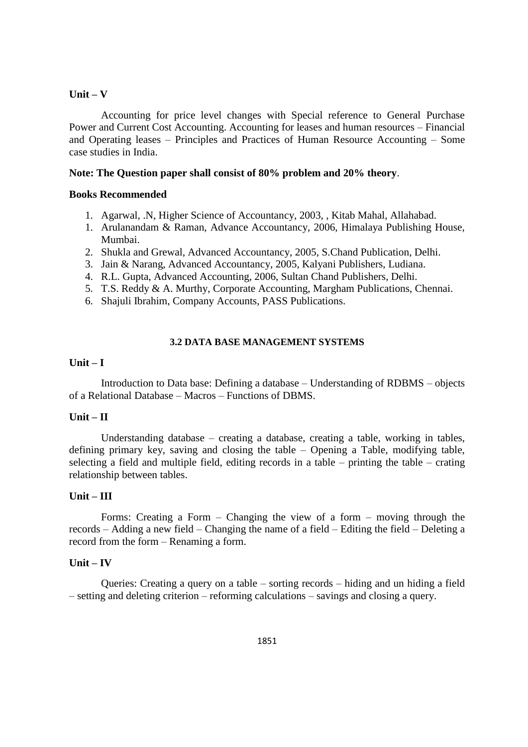Accounting for price level changes with Special reference to General Purchase Power and Current Cost Accounting. Accounting for leases and human resources – Financial and Operating leases – Principles and Practices of Human Resource Accounting – Some case studies in India.

#### **Note: The Question paper shall consist of 80% problem and 20% theory**.

#### **Books Recommended**

- 1. Agarwal, .N, Higher Science of Accountancy, 2003, , Kitab Mahal, Allahabad.
- 1. Arulanandam & Raman, Advance Accountancy, 2006, Himalaya Publishing House, Mumbai.
- 2. Shukla and Grewal, Advanced Accountancy, 2005, S.Chand Publication, Delhi.
- 3. Jain & Narang, Advanced Accountancy, 2005, Kalyani Publishers, Ludiana.
- 4. R.L. Gupta, Advanced Accounting, 2006, Sultan Chand Publishers, Delhi.
- 5. T.S. Reddy & A. Murthy, Corporate Accounting, Margham Publications, Chennai.
- 6. Shajuli Ibrahim, Company Accounts, PASS Publications.

#### **3.2 DATA BASE MANAGEMENT SYSTEMS**

## **Unit – I**

Introduction to Data base: Defining a database – Understanding of RDBMS – objects of a Relational Database – Macros – Functions of DBMS.

#### **Unit – II**

Understanding database – creating a database, creating a table, working in tables, defining primary key, saving and closing the table – Opening a Table, modifying table, selecting a field and multiple field, editing records in a table – printing the table – crating relationship between tables.

#### **Unit – III**

Forms: Creating a Form – Changing the view of a form – moving through the records – Adding a new field – Changing the name of a field – Editing the field – Deleting a record from the form – Renaming a form.

#### **Unit – IV**

Queries: Creating a query on a table – sorting records – hiding and un hiding a field – setting and deleting criterion – reforming calculations – savings and closing a query.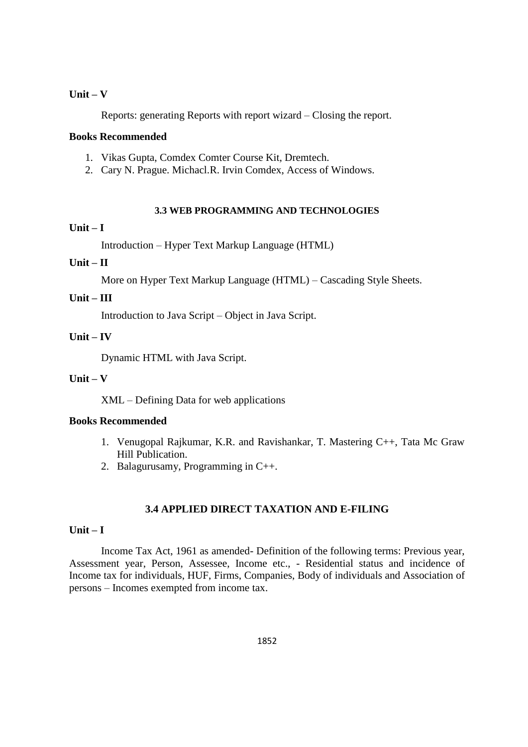Reports: generating Reports with report wizard – Closing the report.

## **Books Recommended**

- 1. Vikas Gupta, Comdex Comter Course Kit, Dremtech.
- 2. Cary N. Prague. Michacl.R. Irvin Comdex, Access of Windows.

## **3.3 WEB PROGRAMMING AND TECHNOLOGIES**

## **Unit – I**

Introduction – Hyper Text Markup Language (HTML)

# **Unit – II**

More on Hyper Text Markup Language (HTML) – Cascading Style Sheets.

## **Unit – III**

Introduction to Java Script – Object in Java Script.

## **Unit – IV**

Dynamic HTML with Java Script.

## **Unit – V**

XML – Defining Data for web applications

#### **Books Recommended**

- 1. Venugopal Rajkumar, K.R. and Ravishankar, T. Mastering C++, Tata Mc Graw Hill Publication.
- 2. Balagurusamy, Programming in C++.

## **3.4 APPLIED DIRECT TAXATION AND E-FILING**

## **Unit – I**

Income Tax Act, 1961 as amended- Definition of the following terms: Previous year, Assessment year, Person, Assessee, Income etc., - Residential status and incidence of Income tax for individuals, HUF, Firms, Companies, Body of individuals and Association of persons – Incomes exempted from income tax.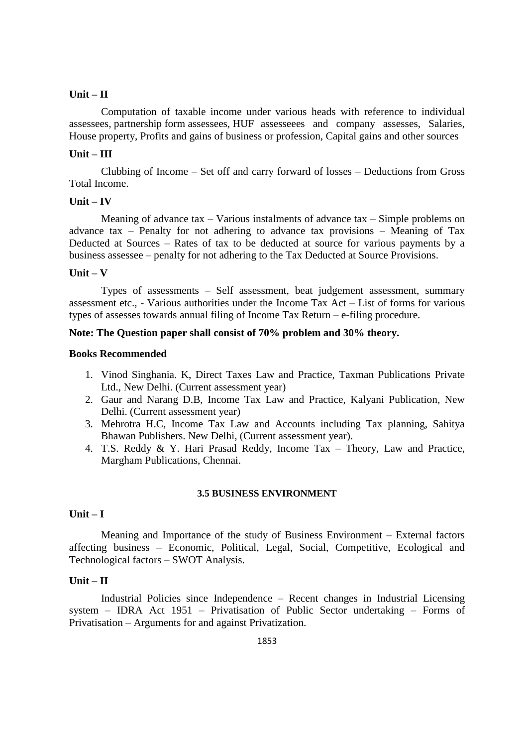## **Unit – II**

Computation of taxable income under various heads with reference to individual assessees, partnership form assessees, HUF assesseees and company assesses, Salaries, House property, Profits and gains of business or profession, Capital gains and other sources

#### **Unit – III**

Clubbing of Income – Set off and carry forward of losses – Deductions from Gross Total Income.

## **Unit – IV**

Meaning of advance tax – Various instalments of advance tax – Simple problems on advance tax – Penalty for not adhering to advance tax provisions – Meaning of Tax Deducted at Sources – Rates of tax to be deducted at source for various payments by a business assessee – penalty for not adhering to the Tax Deducted at Source Provisions.

#### **Unit – V**

Types of assessments – Self assessment, beat judgement assessment, summary assessment etc., - Various authorities under the Income Tax Act – List of forms for various types of assesses towards annual filing of Income Tax Return – e-filing procedure.

## **Note: The Question paper shall consist of 70% problem and 30% theory.**

#### **Books Recommended**

- 1. Vinod Singhania. K, Direct Taxes Law and Practice, Taxman Publications Private Ltd., New Delhi. (Current assessment year)
- 2. Gaur and Narang D.B, Income Tax Law and Practice, Kalyani Publication, New Delhi. (Current assessment year)
- 3. Mehrotra H.C, Income Tax Law and Accounts including Tax planning, Sahitya Bhawan Publishers. New Delhi, (Current assessment year).
- 4. T.S. Reddy & Y. Hari Prasad Reddy, Income Tax Theory, Law and Practice, Margham Publications, Chennai.

#### **3.5 BUSINESS ENVIRONMENT**

#### **Unit – I**

Meaning and Importance of the study of Business Environment – External factors affecting business – Economic, Political, Legal, Social, Competitive, Ecological and Technological factors – SWOT Analysis.

#### **Unit – II**

Industrial Policies since Independence – Recent changes in Industrial Licensing system – IDRA Act 1951 – Privatisation of Public Sector undertaking – Forms of Privatisation – Arguments for and against Privatization.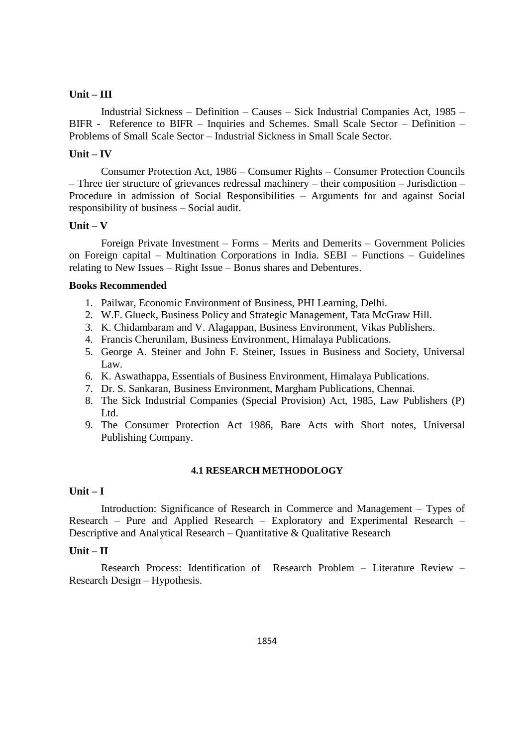## **Unit – III**

Industrial Sickness – Definition – Causes – Sick Industrial Companies Act, 1985 – BIFR - Reference to BIFR – Inquiries and Schemes. Small Scale Sector – Definition – Problems of Small Scale Sector – Industrial Sickness in Small Scale Sector.

#### **Unit – IV**

Consumer Protection Act, 1986 – Consumer Rights – Consumer Protection Councils – Three tier structure of grievances redressal machinery – their composition – Jurisdiction – Procedure in admission of Social Responsibilities – Arguments for and against Social responsibility of business – Social audit.

## **Unit – V**

Foreign Private Investment – Forms – Merits and Demerits – Government Policies on Foreign capital – Multination Corporations in India. SEBI – Functions – Guidelines relating to New Issues – Right Issue – Bonus shares and Debentures.

## **Books Recommended**

- 1. Pailwar, Economic Environment of Business, PHI Learning, Delhi.
- 2. W.F. Glueck, Business Policy and Strategic Management, Tata McGraw Hill.
- 3. K. Chidambaram and V. Alagappan, Business Environment, Vikas Publishers.
- 4. Francis Cherunilam, Business Environment, Himalaya Publications.
- 5. George A. Steiner and John F. Steiner, Issues in Business and Society, Universal Law.
- 6. K. Aswathappa, Essentials of Business Environment, Himalaya Publications.
- 7. Dr. S. Sankaran, Business Environment, Margham Publications, Chennai.
- 8. The Sick Industrial Companies (Special Provision) Act, 1985, Law Publishers (P) Ltd.
- 9. The Consumer Protection Act 1986, Bare Acts with Short notes, Universal Publishing Company.

#### **4.1 RESEARCH METHODOLOGY**

## **Unit – I**

Introduction: Significance of Research in Commerce and Management – Types of Research – Pure and Applied Research – Exploratory and Experimental Research – Descriptive and Analytical Research – Quantitative & Qualitative Research

#### **Unit – II**

Research Process: Identification of Research Problem – Literature Review – Research Design – Hypothesis.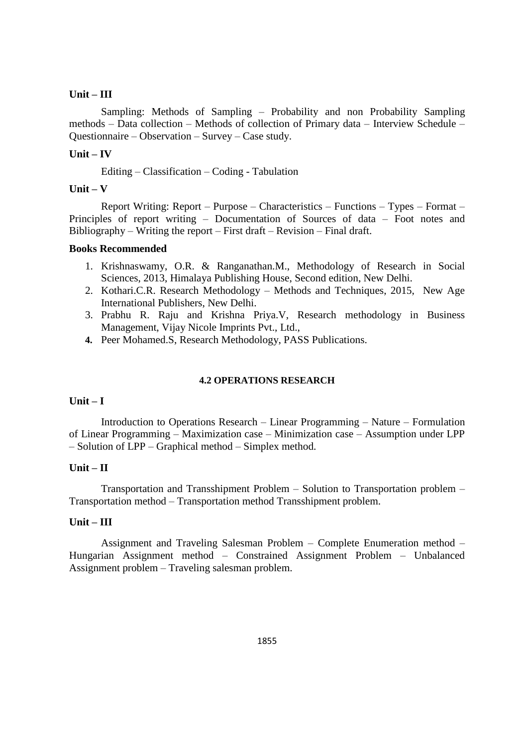#### **Unit – III**

Sampling: Methods of Sampling – Probability and non Probability Sampling methods – Data collection – Methods of collection of Primary data – Interview Schedule – Questionnaire – Observation – Survey – Case study.

#### **Unit – IV**

Editing – Classification – Coding - Tabulation

#### **Unit – V**

Report Writing: Report – Purpose – Characteristics – Functions – Types – Format – Principles of report writing – Documentation of Sources of data – Foot notes and Bibliography – Writing the report – First draft – Revision – Final draft.

#### **Books Recommended**

- 1. Krishnaswamy, O.R. & Ranganathan.M., Methodology of Research in Social Sciences, 2013, Himalaya Publishing House, Second edition, New Delhi.
- 2. Kothari.C.R. Research Methodology Methods and Techniques, 2015, New Age International Publishers, New Delhi.
- 3. Prabhu R. Raju and Krishna Priya.V, Research methodology in Business Management, Vijay Nicole Imprints Pvt., Ltd.,
- **4.** Peer Mohamed.S, Research Methodology, PASS Publications.

#### **4.2 OPERATIONS RESEARCH**

#### **Unit – I**

Introduction to Operations Research – Linear Programming – Nature – Formulation of Linear Programming – Maximization case – Minimization case – Assumption under LPP – Solution of LPP – Graphical method – Simplex method.

#### **Unit – II**

Transportation and Transshipment Problem – Solution to Transportation problem – Transportation method – Transportation method Transshipment problem.

## **Unit – III**

Assignment and Traveling Salesman Problem – Complete Enumeration method – Hungarian Assignment method – Constrained Assignment Problem – Unbalanced Assignment problem – Traveling salesman problem.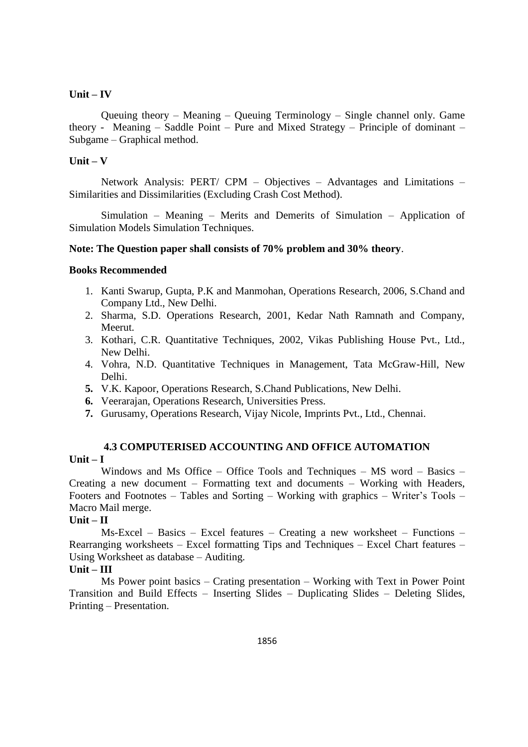Queuing theory – Meaning – Queuing Terminology – Single channel only. Game theory - Meaning – Saddle Point – Pure and Mixed Strategy – Principle of dominant – Subgame – Graphical method.

## **Unit – V**

Network Analysis: PERT/ CPM – Objectives – Advantages and Limitations – Similarities and Dissimilarities (Excluding Crash Cost Method).

Simulation – Meaning – Merits and Demerits of Simulation – Application of Simulation Models Simulation Techniques.

#### **Note: The Question paper shall consists of 70% problem and 30% theory**.

#### **Books Recommended**

- 1. Kanti Swarup, Gupta, P.K and Manmohan, Operations Research, 2006, S.Chand and Company Ltd., New Delhi.
- 2. Sharma, S.D. Operations Research, 2001, Kedar Nath Ramnath and Company, Meerut.
- 3. Kothari, C.R. Quantitative Techniques, 2002, Vikas Publishing House Pvt., Ltd., New Delhi.
- 4. Vohra, N.D. Quantitative Techniques in Management, Tata McGraw-Hill, New Delhi.
- **5.** V.K. Kapoor, Operations Research, S.Chand Publications, New Delhi.
- **6.** Veerarajan, Operations Research, Universities Press.
- **7.** Gurusamy, Operations Research, Vijay Nicole, Imprints Pvt., Ltd., Chennai.

## **4.3 COMPUTERISED ACCOUNTING AND OFFICE AUTOMATION Unit – I**

Windows and Ms Office – Office Tools and Techniques – MS word – Basics – Creating a new document – Formatting text and documents – Working with Headers, Footers and Footnotes – Tables and Sorting – Working with graphics – Writer's Tools – Macro Mail merge.

#### **Unit – II**

Ms-Excel – Basics – Excel features – Creating a new worksheet – Functions – Rearranging worksheets – Excel formatting Tips and Techniques – Excel Chart features – Using Worksheet as database – Auditing.

## **Unit – III**

Ms Power point basics – Crating presentation – Working with Text in Power Point Transition and Build Effects – Inserting Slides – Duplicating Slides – Deleting Slides, Printing – Presentation.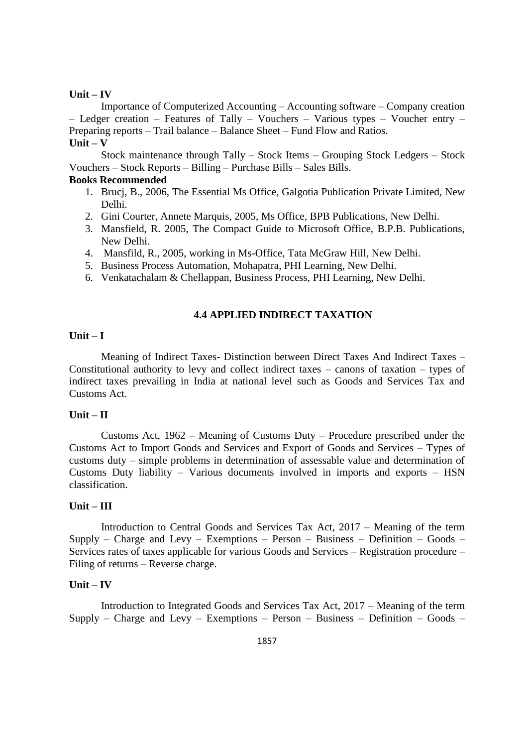Importance of Computerized Accounting – Accounting software – Company creation – Ledger creation – Features of Tally – Vouchers – Various types – Voucher entry – Preparing reports – Trail balance – Balance Sheet – Fund Flow and Ratios. **Unit – V**

Stock maintenance through Tally – Stock Items – Grouping Stock Ledgers – Stock Vouchers – Stock Reports – Billing – Purchase Bills – Sales Bills.

## **Books Recommended**

- 1. Brucj, B., 2006, The Essential Ms Office, Galgotia Publication Private Limited, New Delhi.
- 2. Gini Courter, Annete Marquis, 2005, Ms Office, BPB Publications, New Delhi.
- 3. Mansfield, R. 2005, The Compact Guide to Microsoft Office, B.P.B. Publications, New Delhi.
- 4. Mansfild, R., 2005, working in Ms-Office, Tata McGraw Hill, New Delhi.
- 5. Business Process Automation, Mohapatra, PHI Learning, New Delhi.
- 6. Venkatachalam & Chellappan, Business Process, PHI Learning, New Delhi.

## **4.4 APPLIED INDIRECT TAXATION**

## **Unit – I**

Meaning of Indirect Taxes- Distinction between Direct Taxes And Indirect Taxes – Constitutional authority to levy and collect indirect taxes – canons of taxation – types of indirect taxes prevailing in India at national level such as Goods and Services Tax and Customs Act.

#### **Unit – II**

Customs Act, 1962 – Meaning of Customs Duty – Procedure prescribed under the Customs Act to Import Goods and Services and Export of Goods and Services – Types of customs duty – simple problems in determination of assessable value and determination of Customs Duty liability – Various documents involved in imports and exports – HSN classification.

#### **Unit – III**

Introduction to Central Goods and Services Tax Act, 2017 – Meaning of the term Supply – Charge and Levy – Exemptions – Person – Business – Definition – Goods – Services rates of taxes applicable for various Goods and Services – Registration procedure – Filing of returns – Reverse charge.

#### **Unit – IV**

Introduction to Integrated Goods and Services Tax Act, 2017 – Meaning of the term Supply – Charge and Levy – Exemptions – Person – Business – Definition – Goods –